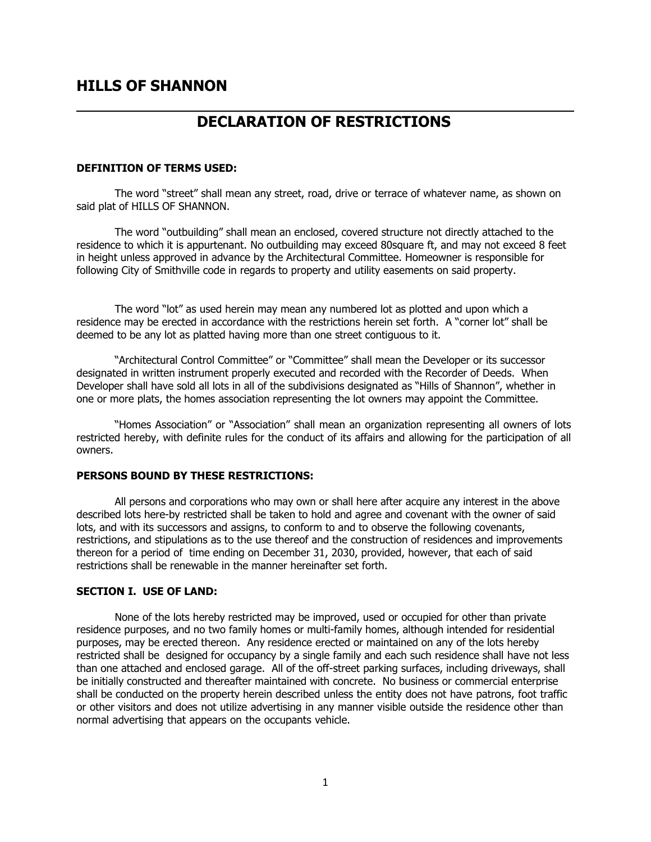# **HILLS OF SHANNON**

# **DECLARATION OF RESTRICTIONS**

#### **DEFINITION OF TERMS USED:**

The word "street" shall mean any street, road, drive or terrace of whatever name, as shown on said plat of HILLS OF SHANNON.

The word "outbuilding" shall mean an enclosed, covered structure not directly attached to the residence to which it is appurtenant. No outbuilding may exceed 80square ft, and may not exceed 8 feet in height unless approved in advance by the Architectural Committee. Homeowner is responsible for following City of Smithville code in regards to property and utility easements on said property.

The word "lot" as used herein may mean any numbered lot as plotted and upon which a residence may be erected in accordance with the restrictions herein set forth. A "corner lot" shall be deemed to be any lot as platted having more than one street contiguous to it.

"Architectural Control Committee" or "Committee" shall mean the Developer or its successor designated in written instrument properly executed and recorded with the Recorder of Deeds. When Developer shall have sold all lots in all of the subdivisions designated as "Hills of Shannon", whether in one or more plats, the homes association representing the lot owners may appoint the Committee.

"Homes Association" or "Association" shall mean an organization representing all owners of lots restricted hereby, with definite rules for the conduct of its affairs and allowing for the participation of all owners.

# **PERSONS BOUND BY THESE RESTRICTIONS:**

All persons and corporations who may own or shall here after acquire any interest in the above described lots here-by restricted shall be taken to hold and agree and covenant with the owner of said lots, and with its successors and assigns, to conform to and to observe the following covenants, restrictions, and stipulations as to the use thereof and the construction of residences and improvements thereon for a period of time ending on December 31, 2030, provided, however, that each of said restrictions shall be renewable in the manner hereinafter set forth.

### **SECTION I. USE OF LAND:**

None of the lots hereby restricted may be improved, used or occupied for other than private residence purposes, and no two family homes or multi-family homes, although intended for residential purposes, may be erected thereon. Any residence erected or maintained on any of the lots hereby restricted shall be designed for occupancy by a single family and each such residence shall have not less than one attached and enclosed garage. All of the off-street parking surfaces, including driveways, shall be initially constructed and thereafter maintained with concrete. No business or commercial enterprise shall be conducted on the property herein described unless the entity does not have patrons, foot traffic or other visitors and does not utilize advertising in any manner visible outside the residence other than normal advertising that appears on the occupants vehicle.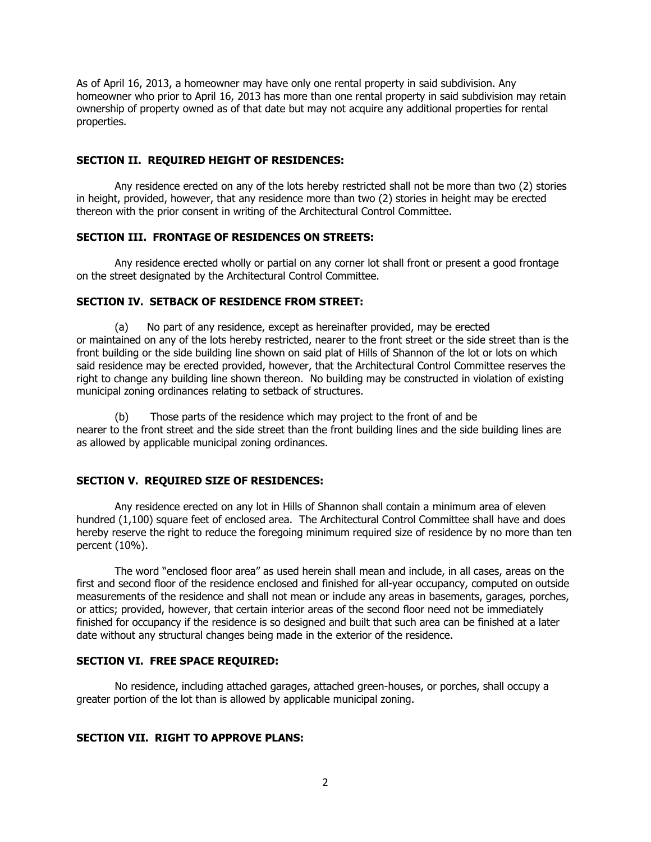As of April 16, 2013, a homeowner may have only one rental property in said subdivision. Any homeowner who prior to April 16, 2013 has more than one rental property in said subdivision may retain ownership of property owned as of that date but may not acquire any additional properties for rental properties.

# **SECTION II. REQUIRED HEIGHT OF RESIDENCES:**

Any residence erected on any of the lots hereby restricted shall not be more than two (2) stories in height, provided, however, that any residence more than two (2) stories in height may be erected thereon with the prior consent in writing of the Architectural Control Committee.

### **SECTION III. FRONTAGE OF RESIDENCES ON STREETS:**

Any residence erected wholly or partial on any corner lot shall front or present a good frontage on the street designated by the Architectural Control Committee.

# **SECTION IV. SETBACK OF RESIDENCE FROM STREET:**

(a) No part of any residence, except as hereinafter provided, may be erected or maintained on any of the lots hereby restricted, nearer to the front street or the side street than is the front building or the side building line shown on said plat of Hills of Shannon of the lot or lots on which said residence may be erected provided, however, that the Architectural Control Committee reserves the right to change any building line shown thereon. No building may be constructed in violation of existing municipal zoning ordinances relating to setback of structures.

(b) Those parts of the residence which may project to the front of and be nearer to the front street and the side street than the front building lines and the side building lines are as allowed by applicable municipal zoning ordinances.

# **SECTION V. REQUIRED SIZE OF RESIDENCES:**

Any residence erected on any lot in Hills of Shannon shall contain a minimum area of eleven hundred (1,100) square feet of enclosed area. The Architectural Control Committee shall have and does hereby reserve the right to reduce the foregoing minimum required size of residence by no more than ten percent (10%).

The word "enclosed floor area" as used herein shall mean and include, in all cases, areas on the first and second floor of the residence enclosed and finished for all-year occupancy, computed on outside measurements of the residence and shall not mean or include any areas in basements, garages, porches, or attics; provided, however, that certain interior areas of the second floor need not be immediately finished for occupancy if the residence is so designed and built that such area can be finished at a later date without any structural changes being made in the exterior of the residence.

### **SECTION VI. FREE SPACE REQUIRED:**

No residence, including attached garages, attached green-houses, or porches, shall occupy a greater portion of the lot than is allowed by applicable municipal zoning.

### **SECTION VII. RIGHT TO APPROVE PLANS:**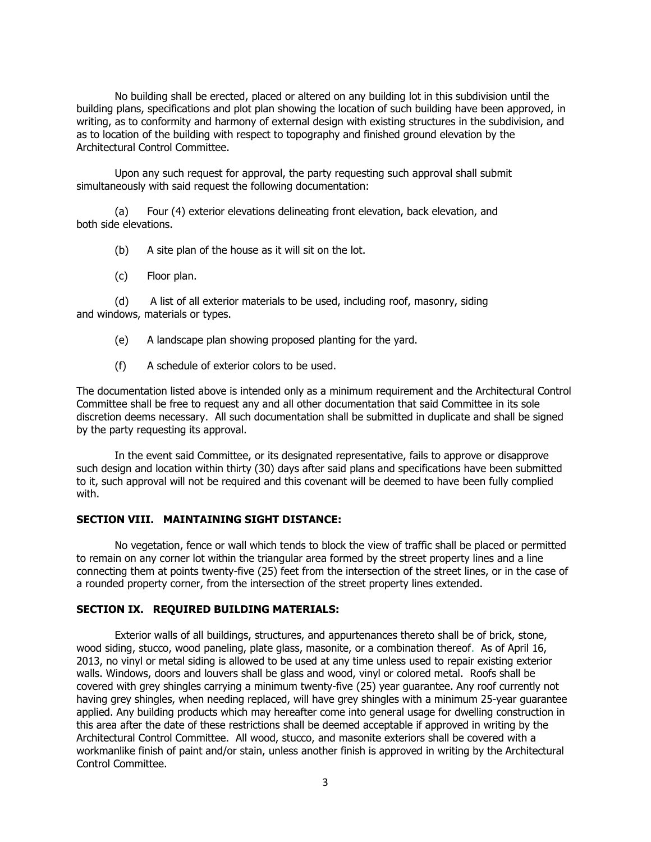No building shall be erected, placed or altered on any building lot in this subdivision until the building plans, specifications and plot plan showing the location of such building have been approved, in writing, as to conformity and harmony of external design with existing structures in the subdivision, and as to location of the building with respect to topography and finished ground elevation by the Architectural Control Committee.

Upon any such request for approval, the party requesting such approval shall submit simultaneously with said request the following documentation:

(a) Four (4) exterior elevations delineating front elevation, back elevation, and both side elevations.

(b) A site plan of the house as it will sit on the lot.

(c) Floor plan.

(d) A list of all exterior materials to be used, including roof, masonry, siding and windows, materials or types.

(e) A landscape plan showing proposed planting for the yard.

(f) A schedule of exterior colors to be used.

The documentation listed above is intended only as a minimum requirement and the Architectural Control Committee shall be free to request any and all other documentation that said Committee in its sole discretion deems necessary. All such documentation shall be submitted in duplicate and shall be signed by the party requesting its approval.

In the event said Committee, or its designated representative, fails to approve or disapprove such design and location within thirty (30) days after said plans and specifications have been submitted to it, such approval will not be required and this covenant will be deemed to have been fully complied with.

# **SECTION VIII. MAINTAINING SIGHT DISTANCE:**

No vegetation, fence or wall which tends to block the view of traffic shall be placed or permitted to remain on any corner lot within the triangular area formed by the street property lines and a line connecting them at points twenty-five (25) feet from the intersection of the street lines, or in the case of a rounded property corner, from the intersection of the street property lines extended.

#### **SECTION IX. REQUIRED BUILDING MATERIALS:**

Exterior walls of all buildings, structures, and appurtenances thereto shall be of brick, stone, wood siding, stucco, wood paneling, plate glass, masonite, or a combination thereof. As of April 16, 2013, no vinyl or metal siding is allowed to be used at any time unless used to repair existing exterior walls. Windows, doors and louvers shall be glass and wood, vinyl or colored metal. Roofs shall be covered with grey shingles carrying a minimum twenty-five (25) year guarantee. Any roof currently not having grey shingles, when needing replaced, will have grey shingles with a minimum 25-year guarantee applied. Any building products which may hereafter come into general usage for dwelling construction in this area after the date of these restrictions shall be deemed acceptable if approved in writing by the Architectural Control Committee. All wood, stucco, and masonite exteriors shall be covered with a workmanlike finish of paint and/or stain, unless another finish is approved in writing by the Architectural Control Committee.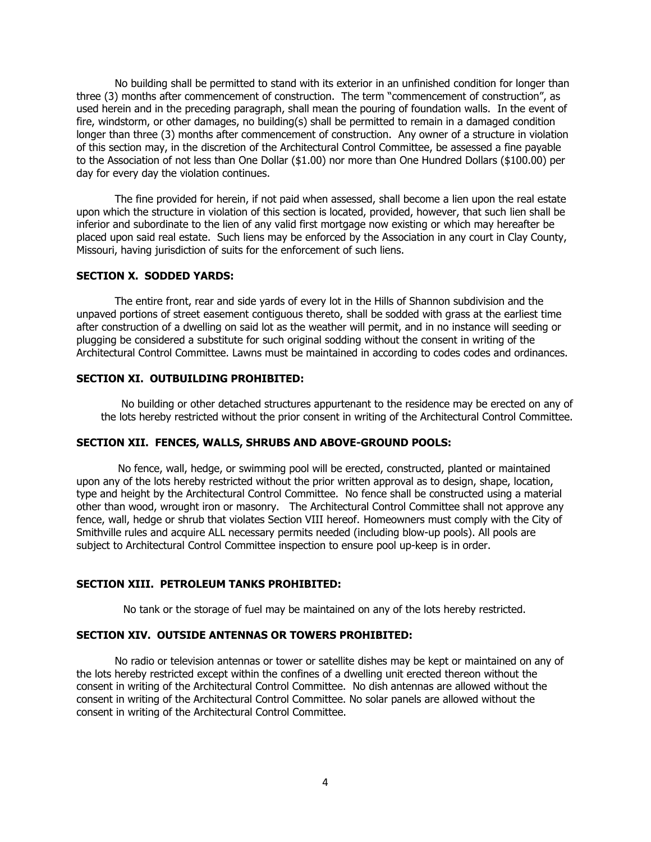No building shall be permitted to stand with its exterior in an unfinished condition for longer than three (3) months after commencement of construction. The term "commencement of construction", as used herein and in the preceding paragraph, shall mean the pouring of foundation walls. In the event of fire, windstorm, or other damages, no building(s) shall be permitted to remain in a damaged condition longer than three (3) months after commencement of construction. Any owner of a structure in violation of this section may, in the discretion of the Architectural Control Committee, be assessed a fine payable to the Association of not less than One Dollar (\$1.00) nor more than One Hundred Dollars (\$100.00) per day for every day the violation continues.

The fine provided for herein, if not paid when assessed, shall become a lien upon the real estate upon which the structure in violation of this section is located, provided, however, that such lien shall be inferior and subordinate to the lien of any valid first mortgage now existing or which may hereafter be placed upon said real estate. Such liens may be enforced by the Association in any court in Clay County, Missouri, having jurisdiction of suits for the enforcement of such liens.

### **SECTION X. SODDED YARDS:**

The entire front, rear and side yards of every lot in the Hills of Shannon subdivision and the unpaved portions of street easement contiguous thereto, shall be sodded with grass at the earliest time after construction of a dwelling on said lot as the weather will permit, and in no instance will seeding or plugging be considered a substitute for such original sodding without the consent in writing of the Architectural Control Committee. Lawns must be maintained in according to codes codes and ordinances.

#### **SECTION XI. OUTBUILDING PROHIBITED:**

No building or other detached structures appurtenant to the residence may be erected on any of the lots hereby restricted without the prior consent in writing of the Architectural Control Committee.

#### **SECTION XII. FENCES, WALLS, SHRUBS AND ABOVE-GROUND POOLS:**

No fence, wall, hedge, or swimming pool will be erected, constructed, planted or maintained upon any of the lots hereby restricted without the prior written approval as to design, shape, location, type and height by the Architectural Control Committee. No fence shall be constructed using a material other than wood, wrought iron or masonry. The Architectural Control Committee shall not approve any fence, wall, hedge or shrub that violates Section VIII hereof. Homeowners must comply with the City of Smithville rules and acquire ALL necessary permits needed (including blow-up pools). All pools are subject to Architectural Control Committee inspection to ensure pool up-keep is in order.

### **SECTION XIII. PETROLEUM TANKS PROHIBITED:**

No tank or the storage of fuel may be maintained on any of the lots hereby restricted.

#### **SECTION XIV. OUTSIDE ANTENNAS OR TOWERS PROHIBITED:**

No radio or television antennas or tower or satellite dishes may be kept or maintained on any of the lots hereby restricted except within the confines of a dwelling unit erected thereon without the consent in writing of the Architectural Control Committee. No dish antennas are allowed without the consent in writing of the Architectural Control Committee. No solar panels are allowed without the consent in writing of the Architectural Control Committee.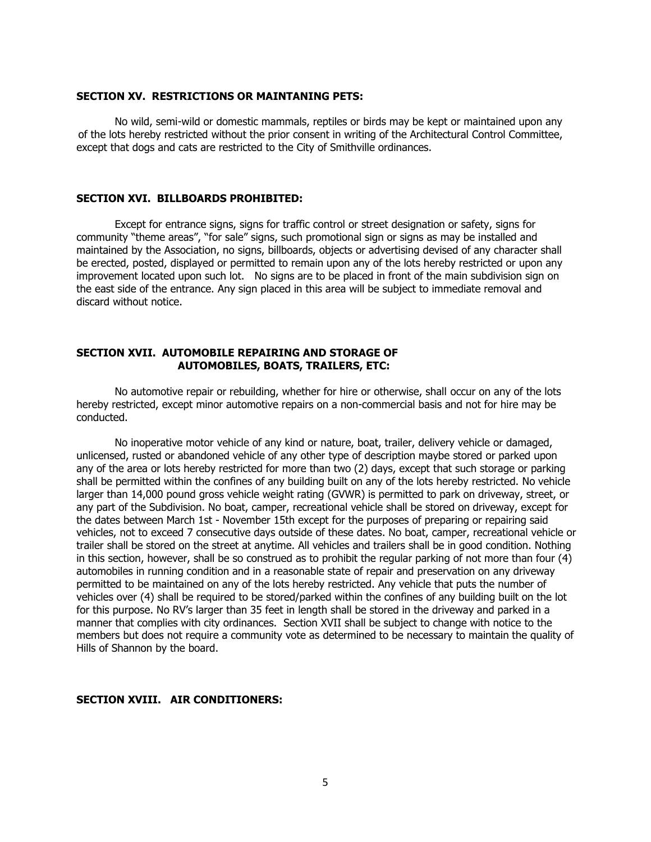#### **SECTION XV. RESTRICTIONS OR MAINTANING PETS:**

No wild, semi-wild or domestic mammals, reptiles or birds may be kept or maintained upon any of the lots hereby restricted without the prior consent in writing of the Architectural Control Committee, except that dogs and cats are restricted to the City of Smithville ordinances.

# **SECTION XVI. BILLBOARDS PROHIBITED:**

Except for entrance signs, signs for traffic control or street designation or safety, signs for community "theme areas", "for sale" signs, such promotional sign or signs as may be installed and maintained by the Association, no signs, billboards, objects or advertising devised of any character shall be erected, posted, displayed or permitted to remain upon any of the lots hereby restricted or upon any improvement located upon such lot. No signs are to be placed in front of the main subdivision sign on the east side of the entrance. Any sign placed in this area will be subject to immediate removal and discard without notice.

# **SECTION XVII. AUTOMOBILE REPAIRING AND STORAGE OF AUTOMOBILES, BOATS, TRAILERS, ETC:**

No automotive repair or rebuilding, whether for hire or otherwise, shall occur on any of the lots hereby restricted, except minor automotive repairs on a non-commercial basis and not for hire may be conducted.

No inoperative motor vehicle of any kind or nature, boat, trailer, delivery vehicle or damaged, unlicensed, rusted or abandoned vehicle of any other type of description maybe stored or parked upon any of the area or lots hereby restricted for more than two (2) days, except that such storage or parking shall be permitted within the confines of any building built on any of the lots hereby restricted. No vehicle larger than 14,000 pound gross vehicle weight rating (GVWR) is permitted to park on driveway, street, or any part of the Subdivision. No boat, camper, recreational vehicle shall be stored on driveway, except for the dates between March 1st - November 15th except for the purposes of preparing or repairing said vehicles, not to exceed 7 consecutive days outside of these dates. No boat, camper, recreational vehicle or trailer shall be stored on the street at anytime. All vehicles and trailers shall be in good condition. Nothing in this section, however, shall be so construed as to prohibit the regular parking of not more than four (4) automobiles in running condition and in a reasonable state of repair and preservation on any driveway permitted to be maintained on any of the lots hereby restricted. Any vehicle that puts the number of vehicles over (4) shall be required to be stored/parked within the confines of any building built on the lot for this purpose. No RV's larger than 35 feet in length shall be stored in the driveway and parked in a manner that complies with city ordinances. Section XVII shall be subject to change with notice to the members but does not require a community vote as determined to be necessary to maintain the quality of Hills of Shannon by the board.

#### **SECTION XVIII. AIR CONDITIONERS:**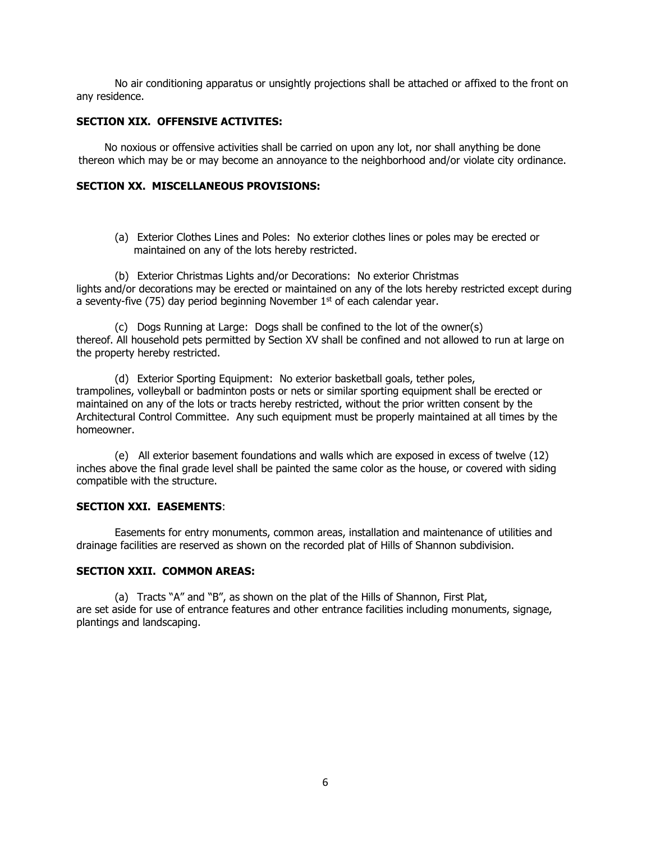No air conditioning apparatus or unsightly projections shall be attached or affixed to the front on any residence.

### **SECTION XIX. OFFENSIVE ACTIVITES:**

No noxious or offensive activities shall be carried on upon any lot, nor shall anything be done thereon which may be or may become an annoyance to the neighborhood and/or violate city ordinance.

#### **SECTION XX. MISCELLANEOUS PROVISIONS:**

(a) Exterior Clothes Lines and Poles: No exterior clothes lines or poles may be erected or maintained on any of the lots hereby restricted.

(b) Exterior Christmas Lights and/or Decorations: No exterior Christmas lights and/or decorations may be erected or maintained on any of the lots hereby restricted except during a seventy-five (75) day period beginning November  $1<sup>st</sup>$  of each calendar year.

(c) Dogs Running at Large: Dogs shall be confined to the lot of the owner(s) thereof. All household pets permitted by Section XV shall be confined and not allowed to run at large on the property hereby restricted.

(d) Exterior Sporting Equipment: No exterior basketball goals, tether poles, trampolines, volleyball or badminton posts or nets or similar sporting equipment shall be erected or maintained on any of the lots or tracts hereby restricted, without the prior written consent by the Architectural Control Committee. Any such equipment must be properly maintained at all times by the homeowner.

(e) All exterior basement foundations and walls which are exposed in excess of twelve (12) inches above the final grade level shall be painted the same color as the house, or covered with siding compatible with the structure.

# **SECTION XXI. EASEMENTS**:

Easements for entry monuments, common areas, installation and maintenance of utilities and drainage facilities are reserved as shown on the recorded plat of Hills of Shannon subdivision.

# **SECTION XXII. COMMON AREAS:**

(a) Tracts "A" and "B", as shown on the plat of the Hills of Shannon, First Plat, are set aside for use of entrance features and other entrance facilities including monuments, signage, plantings and landscaping.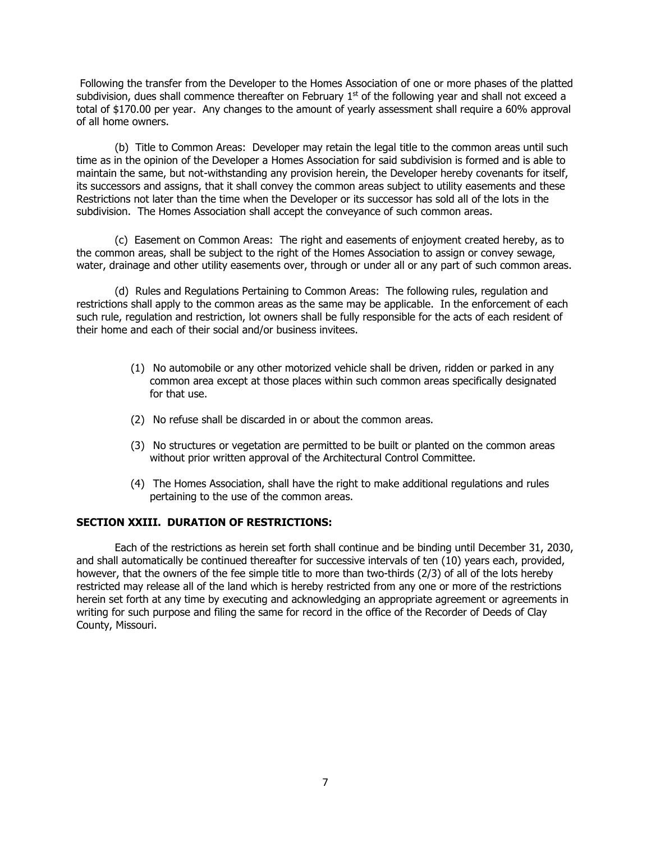Following the transfer from the Developer to the Homes Association of one or more phases of the platted subdivision, dues shall commence thereafter on February  $1<sup>st</sup>$  of the following year and shall not exceed a total of \$170.00 per year. Any changes to the amount of yearly assessment shall require a 60% approval of all home owners.

(b) Title to Common Areas: Developer may retain the legal title to the common areas until such time as in the opinion of the Developer a Homes Association for said subdivision is formed and is able to maintain the same, but not-withstanding any provision herein, the Developer hereby covenants for itself, its successors and assigns, that it shall convey the common areas subject to utility easements and these Restrictions not later than the time when the Developer or its successor has sold all of the lots in the subdivision. The Homes Association shall accept the conveyance of such common areas.

(c) Easement on Common Areas: The right and easements of enjoyment created hereby, as to the common areas, shall be subject to the right of the Homes Association to assign or convey sewage, water, drainage and other utility easements over, through or under all or any part of such common areas.

(d) Rules and Regulations Pertaining to Common Areas: The following rules, regulation and restrictions shall apply to the common areas as the same may be applicable. In the enforcement of each such rule, regulation and restriction, lot owners shall be fully responsible for the acts of each resident of their home and each of their social and/or business invitees.

- (1) No automobile or any other motorized vehicle shall be driven, ridden or parked in any common area except at those places within such common areas specifically designated for that use.
- (2) No refuse shall be discarded in or about the common areas.
- (3) No structures or vegetation are permitted to be built or planted on the common areas without prior written approval of the Architectural Control Committee.
- (4) The Homes Association, shall have the right to make additional regulations and rules pertaining to the use of the common areas.

### **SECTION XXIII. DURATION OF RESTRICTIONS:**

Each of the restrictions as herein set forth shall continue and be binding until December 31, 2030, and shall automatically be continued thereafter for successive intervals of ten (10) years each, provided, however, that the owners of the fee simple title to more than two-thirds (2/3) of all of the lots hereby restricted may release all of the land which is hereby restricted from any one or more of the restrictions herein set forth at any time by executing and acknowledging an appropriate agreement or agreements in writing for such purpose and filing the same for record in the office of the Recorder of Deeds of Clay County, Missouri.